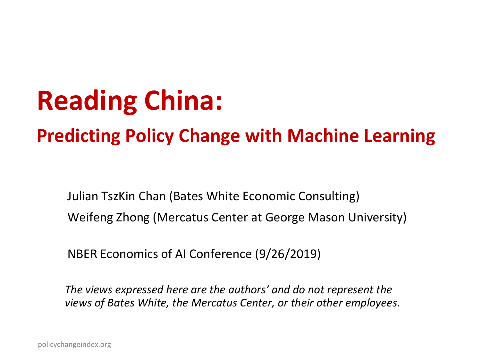# **Reading China:**

#### **Predicting Policy Change with Machine Learning**

Julian TszKin Chan (Bates White Economic Consulting) Weifeng Zhong (Mercatus Center at George Mason University)

NBER Economics of AI Conference (9/26/2019)

*The views expressed here are the authors' and do not represent the views of Bates White, the Mercatus Center, or their other employees.*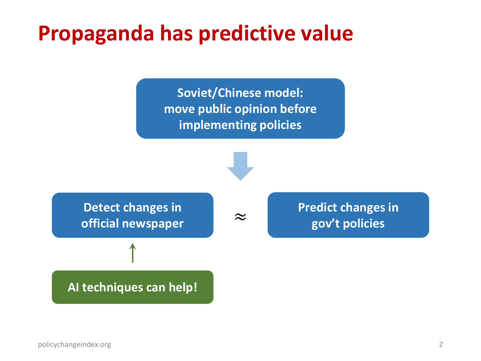#### **Propaganda has predictive value**

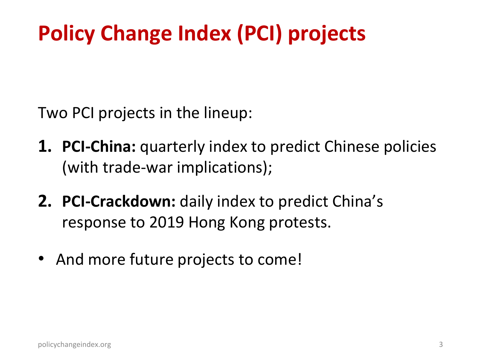# **Policy Change Index (PCI) projects**

Two PCI projects in the lineup:

- **1. PCI-China:** quarterly index to predict Chinese policies (with trade-war implications);
- **2. PCI-Crackdown:** daily index to predict China's response to 2019 Hong Kong protests.
- And more future projects to come!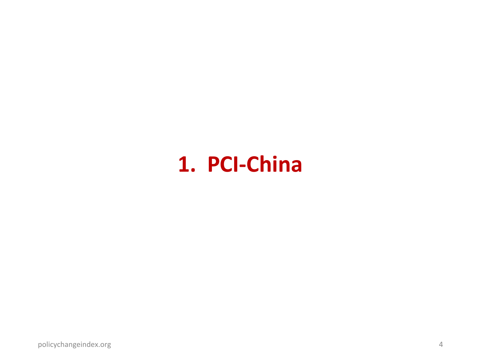#### **1. PCI-China**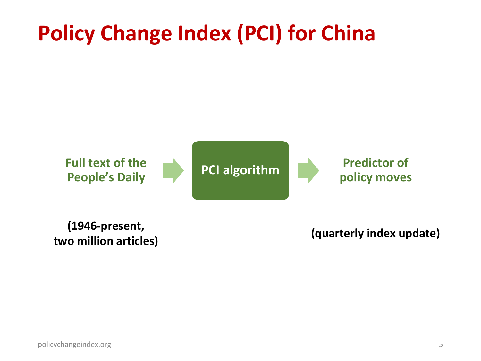## **Policy Change Index (PCI) for China**



**(1946-present, two million articles) (quarterly index update)**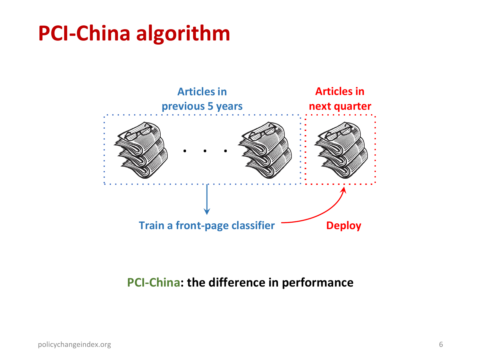#### **PCI-China algorithm**



#### **PCI-China: the difference in performance**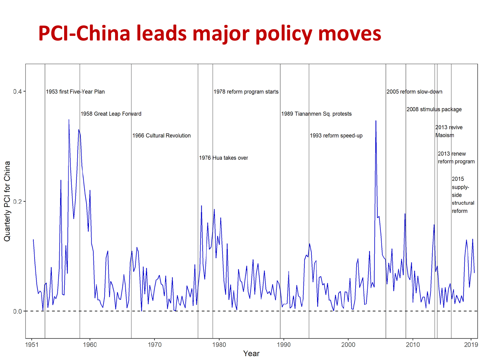# **PCI-China leads major policy moves**

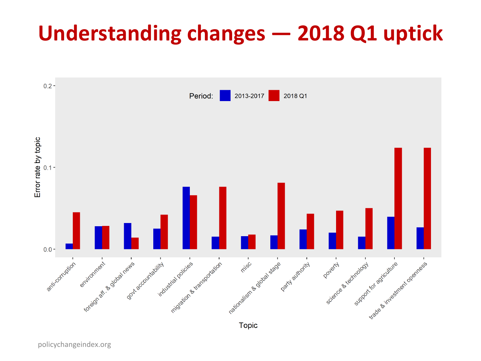#### **Understanding changes — 2018 Q1 uptick**



policychangeindex.org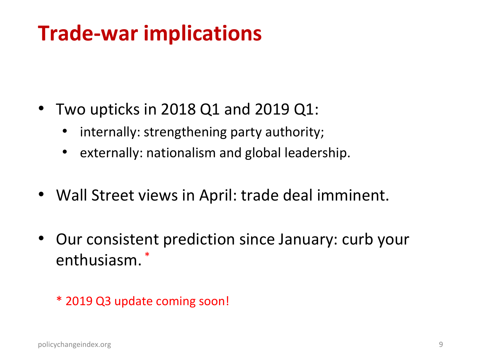## **Trade-war implications**

- Two upticks in 2018 Q1 and 2019 Q1:
	- internally: strengthening party authority;
	- externally: nationalism and global leadership.
- Wall Street views in April: trade deal imminent.
- Our consistent prediction since January: curb your enthusiasm. \*

\* 2019 Q3 update coming soon!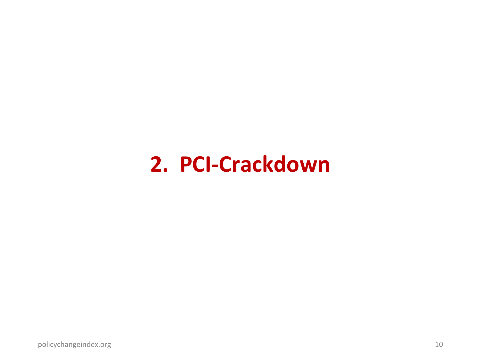#### **2. PCI-Crackdown**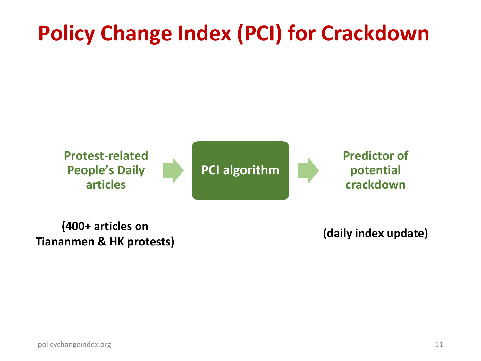# **Policy Change Index (PCI) for Crackdown**



**(400+ articles on Tiananmen & HK protests) (daily index update)**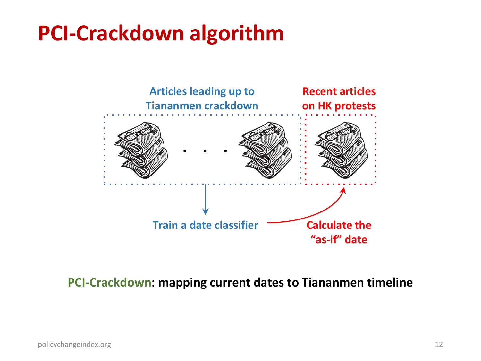#### **PCI-Crackdown algorithm**



**PCI-Crackdown: mapping current dates to Tiananmen timeline**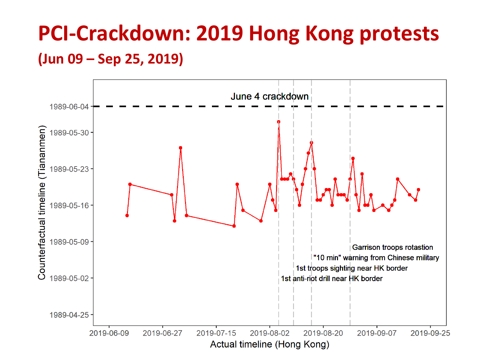#### **PCI-Crackdown: 2019 Hong Kong protests (Jun 09 – Sep 25, 2019)**

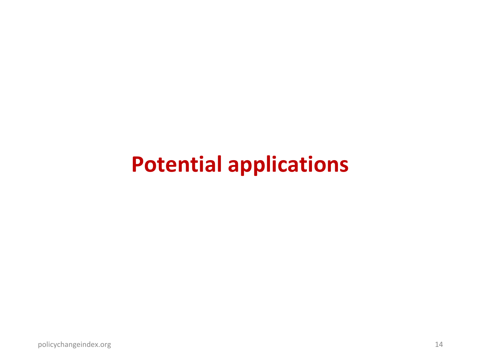#### **Potential applications**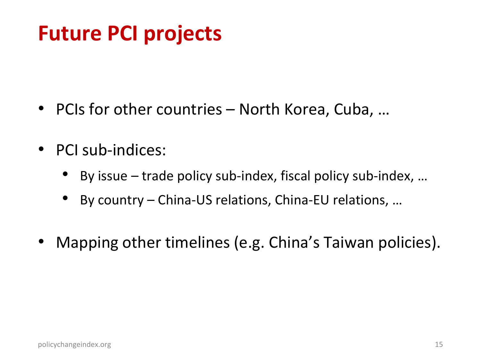#### **Future PCI projects**

- PCIs for other countries North Korea, Cuba, ...
- PCI sub-indices:
	- By issue trade policy sub-index, fiscal policy sub-index, …
	- By country China-US relations, China-EU relations, …
- Mapping other timelines (e.g. China's Taiwan policies).